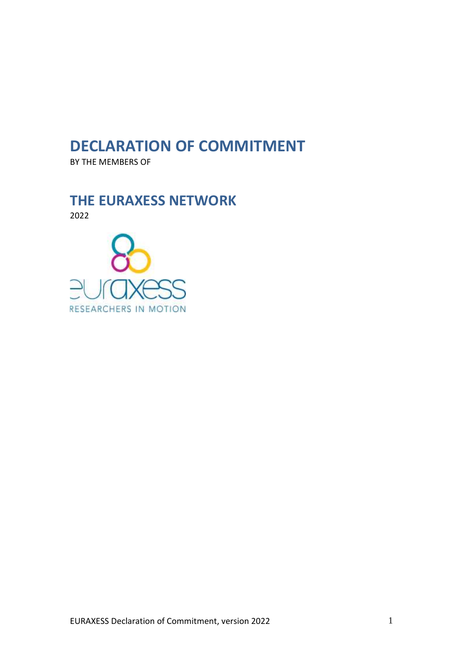# **DECLARATION OF COMMITMENT**

BY THE MEMBERS OF

# **THE EURAXESS NETWORK**

2022

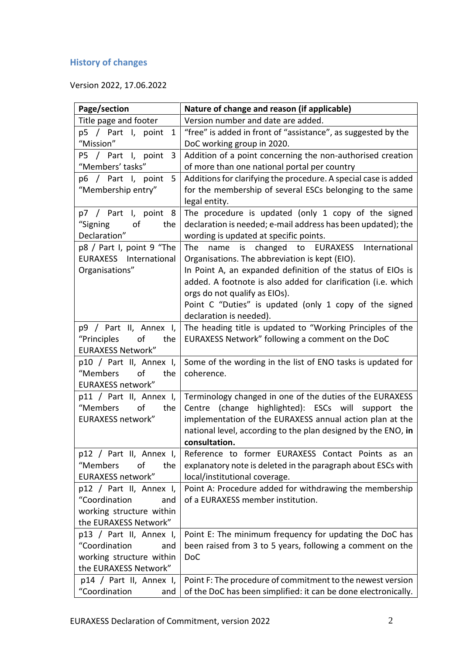# **History of changes**

Version 2022, 17.06.2022

| Page/section                                     | Nature of change and reason (if applicable)                               |
|--------------------------------------------------|---------------------------------------------------------------------------|
| Title page and footer                            | Version number and date are added.                                        |
| p5 / Part I, point<br>1                          | "free" is added in front of "assistance", as suggested by the             |
| "Mission"                                        | DoC working group in 2020.                                                |
| P5 / Part I, point<br>3                          | Addition of a point concerning the non-authorised creation                |
| "Members' tasks"                                 | of more than one national portal per country                              |
| p6 / Part I, point<br>5                          | Additions for clarifying the procedure. A special case is added           |
| "Membership entry"                               | for the membership of several ESCs belonging to the same                  |
|                                                  | legal entity.                                                             |
| p7 / Part I, point 8                             | The procedure is updated (only 1 copy of the signed                       |
| "Signing<br>of<br>the                            | declaration is needed; e-mail address has been updated); the              |
| Declaration"                                     | wording is updated at specific points.                                    |
| p8 / Part I, point 9 "The                        | The<br>name is changed to EURAXESS International                          |
| <b>EURAXESS</b> International                    | Organisations. The abbreviation is kept (EIO).                            |
| Organisations"                                   | In Point A, an expanded definition of the status of EIOs is               |
|                                                  | added. A footnote is also added for clarification (i.e. which             |
|                                                  | orgs do not qualify as EIOs).                                             |
|                                                  | Point C "Duties" is updated (only 1 copy of the signed                    |
|                                                  | declaration is needed).                                                   |
| p9 / Part II, Annex I,                           | The heading title is updated to "Working Principles of the                |
| "Principles<br>of<br>the                         | EURAXESS Network" following a comment on the DoC                          |
| <b>EURAXESS Network"</b>                         |                                                                           |
| p10 / Part II, Annex I,<br>"Members<br>of<br>the | Some of the wording in the list of ENO tasks is updated for<br>coherence. |
| <b>EURAXESS network"</b>                         |                                                                           |
| p11 / Part II, Annex I,                          | Terminology changed in one of the duties of the EURAXESS                  |
| of<br>"Members<br>the                            | (change highlighted): ESCs will support the<br>Centre                     |
| <b>EURAXESS network"</b>                         | implementation of the EURAXESS annual action plan at the                  |
|                                                  | national level, according to the plan designed by the ENO, in             |
|                                                  | consultation.                                                             |
| p12 / Part II, Annex I,                          | Reference to former EURAXESS Contact Points as an                         |
| "Members<br>of<br>the                            | explanatory note is deleted in the paragraph about ESCs with              |
| EURAXESS network"                                | local/institutional coverage.                                             |
| p12 / Part II, Annex I,                          | Point A: Procedure added for withdrawing the membership                   |
| "Coordination<br>and                             | of a EURAXESS member institution.                                         |
| working structure within                         |                                                                           |
| the EURAXESS Network"                            |                                                                           |
| p13 / Part II, Annex I,                          | Point E: The minimum frequency for updating the DoC has                   |
| "Coordination<br>and                             | been raised from 3 to 5 years, following a comment on the                 |
| working structure within                         | <b>DoC</b>                                                                |
| the EURAXESS Network"                            |                                                                           |
| p14 / Part II, Annex I,                          | Point F: The procedure of commitment to the newest version                |
| "Coordination<br>and                             | of the DoC has been simplified: it can be done electronically.            |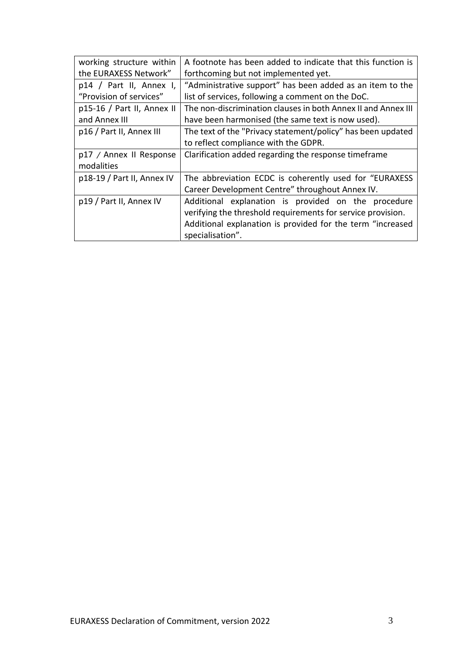| working structure within     | A footnote has been added to indicate that this function is   |
|------------------------------|---------------------------------------------------------------|
| the EURAXESS Network"        | forthcoming but not implemented yet.                          |
| $p14$ / Part II, Annex I,    | "Administrative support" has been added as an item to the     |
| "Provision of services"      | list of services, following a comment on the DoC.             |
| $p15-16$ / Part II, Annex II | The non-discrimination clauses in both Annex II and Annex III |
| and Annex III                | have been harmonised (the same text is now used).             |
| p16 / Part II, Annex III     | The text of the "Privacy statement/policy" has been updated   |
|                              | to reflect compliance with the GDPR.                          |
| p17 / Annex II Response      | Clarification added regarding the response timeframe          |
| modalities                   |                                                               |
| p18-19 / Part II, Annex IV   | The abbreviation ECDC is coherently used for "EURAXESS"       |
|                              | Career Development Centre" throughout Annex IV.               |
| p19 / Part II, Annex IV      | Additional explanation is provided on the procedure           |
|                              | verifying the threshold requirements for service provision.   |
|                              | Additional explanation is provided for the term "increased    |
|                              | specialisation".                                              |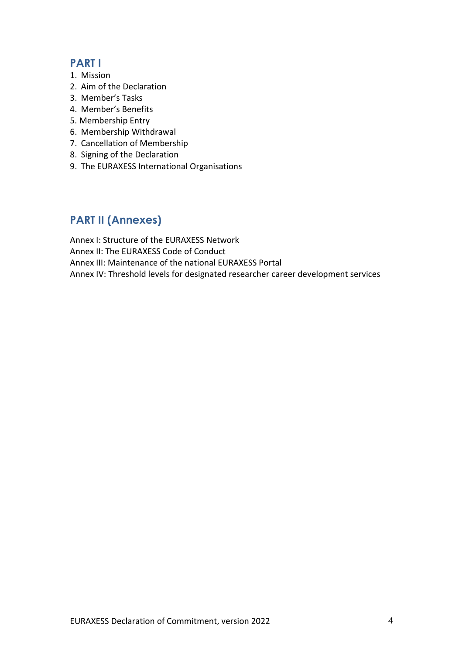# **PART I**

- 1. Mission
- 2. Aim of the Declaration
- 3. Member's Tasks
- 4. Member's Benefits
- 5. Membership Entry
- 6. Membership Withdrawal
- 7. Cancellation of Membership
- 8. Signing of the Declaration
- 9. The EURAXESS International Organisations

# **PART II (Annexes)**

Annex I: Structure of the EURAXESS Network Annex II: The EURAXESS Code of Conduct Annex III: Maintenance of the national EURAXESS Portal Annex IV: Threshold levels for designated researcher career development services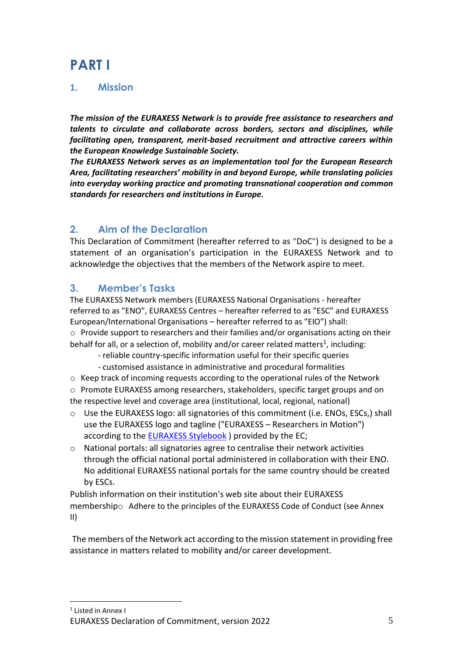# **PART I**

# **1. Mission**

*The mission of the EURAXESS Network is to provide free assistance to researchers and talents to circulate and collaborate across borders, sectors and disciplines, while facilitating open, transparent, merit-based recruitment and attractive careers within the European Knowledge Sustainable Society.* 

*The EURAXESS Network serves as an implementation tool for the European Research Area, facilitating researchers' mobility in and beyond Europe, while translating policies into everyday working practice and promoting transnational cooperation and common standards for researchers and institutions in Europe.*

# **2. Aim of the Declaration**

This Declaration of Commitment (hereafter referred to as "DoC") is designed to be a statement of an organisation's participation in the EURAXESS Network and to acknowledge the objectives that the members of the Network aspire to meet.

# **3. Member's Tasks**

The EURAXESS Network members (EURAXESS National Organisations - hereafter referred to as "ENO", EURAXESS Centres – hereafter referred to as "ESC" and EURAXESS European/International Organisations – hereafter referred to as "EIO") shall: o Provide support to researchers and their families and/or organisations acting on their behalf for all, or a selection of, mobility and/or career related matters<sup>1</sup>, including:

- reliable country-specific information useful for their specific queries
- customised assistance in administrative and procedural formalities
- o Keep track of incoming requests according to the operational rules of the Network

o Promote EURAXESS among researchers, stakeholders, specific target groups and on the respective level and coverage area (institutional, local, regional, national)

- $\circ$  Use the EURAXESS logo: all signatories of this commitment (i.e. ENOs, ESCs.) shall use the EURAXESS logo and tagline ("EURAXESS – Researchers in Motion") according to the **EURAXESS Stylebook** ) provided by the EC;
- o National portals: all signatories agree to centralise their network activities through the official national portal administered in collaboration with their ENO. No additional EURAXESS national portals for the same country should be created by ESCs.

Publish information on their institution's web site about their EURAXESS membershipo Adhere to the principles of the EURAXESS Code of Conduct (see Annex II)

The members of the Network act according to the mission statement in providing free assistance in matters related to mobility and/or career development.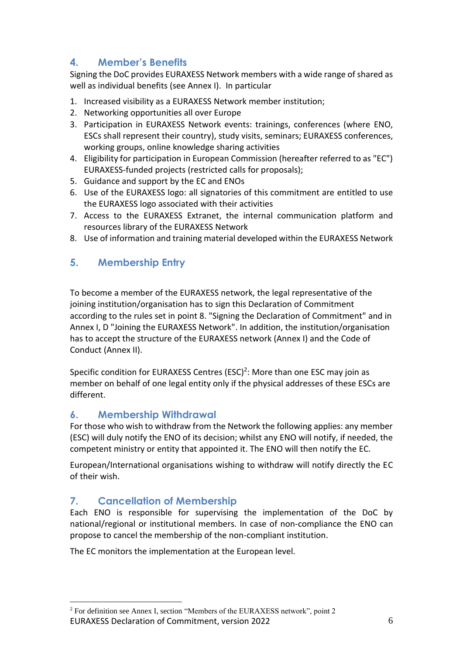# **4. Member's Benefits**

Signing the DoC provides EURAXESS Network members with a wide range of shared as well as individual benefits (see Annex I). In particular

- 1. Increased visibility as a EURAXESS Network member institution;
- 2. Networking opportunities all over Europe
- 3. Participation in EURAXESS Network events: trainings, conferences (where ENO, ESCs shall represent their country), study visits, seminars; EURAXESS conferences, working groups, online knowledge sharing activities
- 4. Eligibility for participation in European Commission (hereafter referred to as "EC") EURAXESS-funded projects (restricted calls for proposals);
- 5. Guidance and support by the EC and ENOs
- 6. Use of the EURAXESS logo: all signatories of this commitment are entitled to use the EURAXESS logo associated with their activities
- 7. Access to the EURAXESS Extranet, the internal communication platform and resources library of the EURAXESS Network
- 8. Use of information and training material developed within the EURAXESS Network

# **5. Membership Entry**

To become a member of the EURAXESS network, the legal representative of the joining institution/organisation has to sign this Declaration of Commitment according to the rules set in point 8. "Signing the Declaration of Commitment" and in Annex I, D "Joining the EURAXESS Network". In addition, the institution/organisation has to accept the structure of the EURAXESS network (Annex I) and the Code of Conduct (Annex II).

Specific condition for EURAXESS Centres  $(ESC)^2$ : More than one ESC may join as member on behalf of one legal entity only if the physical addresses of these ESCs are different.

# **6. Membership Withdrawal**

For those who wish to withdraw from the Network the following applies: any member (ESC) will duly notify the ENO of its decision; whilst any ENO will notify, if needed, the competent ministry or entity that appointed it. The ENO will then notify the EC.

European/International organisations wishing to withdraw will notify directly the EC of their wish.

# **7. Cancellation of Membership**

Each ENO is responsible for supervising the implementation of the DoC by national/regional or institutional members. In case of non-compliance the ENO can propose to cancel the membership of the non-compliant institution.

The EC monitors the implementation at the European level.

EURAXESS Declaration of Commitment, version 2022 6 <sup>2</sup> For definition see Annex I, section "Members of the EURAXESS network", point 2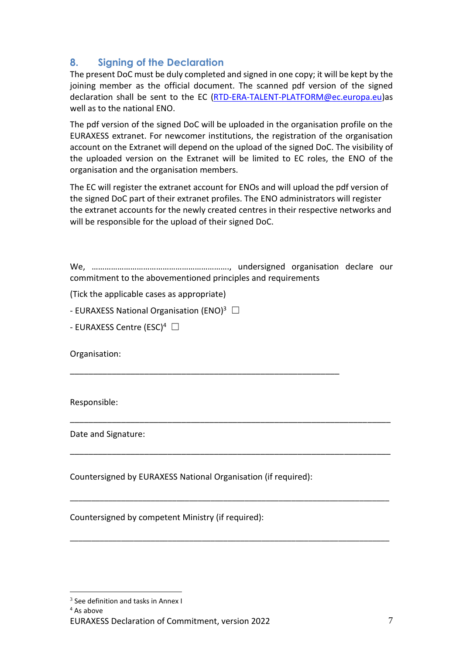# **8. Signing of the Declaration**

The present DoC must be duly completed and signed in one copy; it will be kept by the joining member as the official document. The scanned pdf version of the signed declaration shall be sent to the EC [\(RTD-ERA-TALENT-PLATFORM@ec.europa.eu\)](mailto:RTD-ERA-TALENT-PLATFORM@ec.europa.eu)as well as to the national ENO.

The pdf version of the signed DoC will be uploaded in the organisation profile on the EURAXESS extranet. For newcomer institutions, the registration of the organisation account on the Extranet will depend on the upload of the signed DoC. The visibility of the uploaded version on the Extranet will be limited to EC roles, the ENO of the organisation and the organisation members.

The EC will register the extranet account for ENOs and will upload the pdf version of the signed DoC part of their extranet profiles. The ENO administrators will register the extranet accounts for the newly created centres in their respective networks and will be responsible for the upload of their signed DoC.

We, ………………………………………………………., undersigned organisation declare our commitment to the abovementioned principles and requirements

\_\_\_\_\_\_\_\_\_\_\_\_\_\_\_\_\_\_\_\_\_\_\_\_\_\_\_\_\_\_\_\_\_\_\_\_\_\_\_\_\_\_\_\_\_\_\_\_\_\_\_\_\_\_\_\_\_\_\_\_\_\_\_\_\_\_\_\_\_

\_\_\_\_\_\_\_\_\_\_\_\_\_\_\_\_\_\_\_\_\_\_\_\_\_\_\_\_\_\_\_\_\_\_\_\_\_\_\_\_\_\_\_\_\_\_\_\_\_\_\_\_\_\_\_\_\_\_\_\_\_\_\_\_\_\_\_\_\_

\_\_\_\_\_\_\_\_\_\_\_\_\_\_\_\_\_\_\_\_\_\_\_\_\_\_\_\_\_\_\_\_\_\_\_\_\_\_\_\_\_\_\_\_\_\_\_\_\_\_\_\_\_\_\_\_\_\_\_\_\_\_\_\_\_\_\_\_\_\_\_\_\_\_\_

\_\_\_\_\_\_\_\_\_\_\_\_\_\_\_\_\_\_\_\_\_\_\_\_\_\_\_\_\_\_\_\_\_\_\_\_\_\_\_\_\_\_\_\_\_\_\_\_\_\_\_\_\_\_\_\_\_\_\_\_\_\_\_\_\_\_\_\_\_\_\_\_\_\_\_

(Tick the applicable cases as appropriate)

- EURAXESS National Organisation (ENO)<sup>3</sup>  $\Box$ 

- EURAXESS Centre (ESC)<sup>4</sup>  $\Box$ 

Organisation:

Responsible:

Date and Signature:

Countersigned by EURAXESS National Organisation (if required):

\_\_\_\_\_\_\_\_\_\_\_\_\_\_\_\_\_\_\_\_\_\_\_\_\_\_\_\_\_\_\_\_\_\_\_\_\_\_\_\_\_\_\_\_\_\_\_\_\_\_\_\_\_\_\_\_\_\_

Countersigned by competent Ministry (if required):

<sup>4</sup> As above

 $3$  See definition and tasks in Annex I

EURAXESS Declaration of Commitment, version 2022 **7** and 2022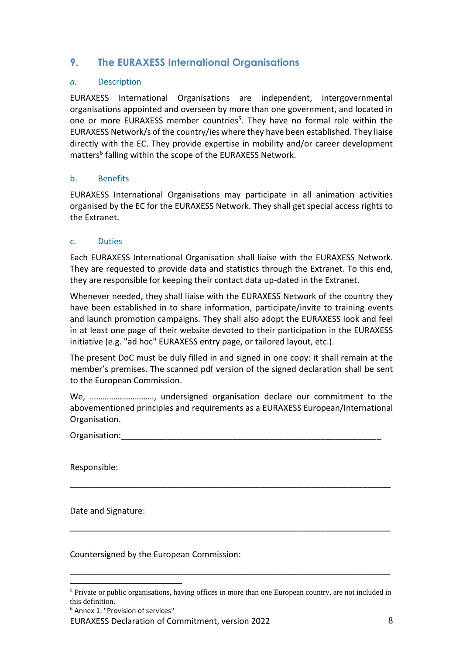# **9. The EURAXESS International Organisations**

### *a.* Description

EURAXESS International Organisations are independent, intergovernmental organisations appointed and overseen by more than one government, and located in one or more EURAXESS member countries<sup>5</sup>. They have no formal role within the EURAXESS Network/s of the country/ies where they have been established. They liaise directly with the EC. They provide expertise in mobility and/or career development matters<sup>6</sup> falling within the scope of the EURAXESS Network.

### b. Benefits

EURAXESS International Organisations may participate in all animation activities organised by the EC for the EURAXESS Network. They shall get special access rights to the Extranet.

### c. Duties

Each EURAXESS International Organisation shall liaise with the EURAXESS Network. They are requested to provide data and statistics through the Extranet. To this end, they are responsible for keeping their contact data up-dated in the Extranet.

Whenever needed, they shall liaise with the EURAXESS Network of the country they have been established in to share information, participate/invite to training events and launch promotion campaigns. They shall also adopt the EURAXESS look and feel in at least one page of their website devoted to their participation in the EURAXESS initiative (e.g. "ad hoc" EURAXESS entry page, or tailored layout, etc.).

The present DoC must be duly filled in and signed in one copy: it shall remain at the member's premises. The scanned pdf version of the signed declaration shall be sent to the European Commission.

We, …………………………, undersigned organisation declare our commitment to the abovementioned principles and requirements as a EURAXESS European/International Organisation.

\_\_\_\_\_\_\_\_\_\_\_\_\_\_\_\_\_\_\_\_\_\_\_\_\_\_\_\_\_\_\_\_\_\_\_\_\_\_\_\_\_\_\_\_\_\_\_\_\_\_\_\_\_\_\_\_\_\_\_\_\_\_\_\_\_\_\_\_\_

\_\_\_\_\_\_\_\_\_\_\_\_\_\_\_\_\_\_\_\_\_\_\_\_\_\_\_\_\_\_\_\_\_\_\_\_\_\_\_\_\_\_\_\_\_\_\_\_\_\_\_\_\_\_\_\_\_\_\_\_\_\_\_\_\_\_\_\_\_

Organisation:

Responsible:

Date and Signature:

Countersigned by the European Commission:

\_\_\_\_\_\_\_\_\_\_\_\_\_\_\_\_\_\_\_\_\_\_\_\_\_\_\_\_\_\_\_\_\_\_\_\_\_\_\_\_\_\_\_\_\_\_\_\_\_\_\_\_\_\_\_\_\_\_\_\_\_\_\_\_\_\_\_\_\_

EURAXESS Declaration of Commitment, version 2022 8

<sup>&</sup>lt;sup>5</sup> Private or public organisations, having offices in more than one European country, are not included in this definition.

 $6$  Annex 1: "Provision of services"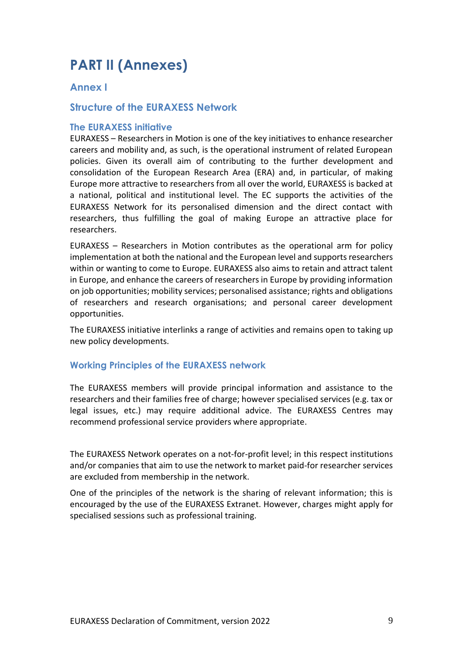# **PART II (Annexes)**

# **Annex I**

# **Structure of the EURAXESS Network**

#### **The EURAXESS initiative**

EURAXESS – Researchers in Motion is one of the key initiatives to enhance researcher careers and mobility and, as such, is the operational instrument of related European policies. Given its overall aim of contributing to the further development and consolidation of the European Research Area (ERA) and, in particular, of making Europe more attractive to researchers from all over the world, EURAXESS is backed at a national, political and institutional level. The EC supports the activities of the EURAXESS Network for its personalised dimension and the direct contact with researchers, thus fulfilling the goal of making Europe an attractive place for researchers.

EURAXESS – Researchers in Motion contributes as the operational arm for policy implementation at both the national and the European level and supports researchers within or wanting to come to Europe. EURAXESS also aims to retain and attract talent in Europe, and enhance the careers of researchers in Europe by providing information on job opportunities; mobility services; personalised assistance; rights and obligations of researchers and research organisations; and personal career development opportunities.

The EURAXESS initiative interlinks a range of activities and remains open to taking up new policy developments.

## **Working Principles of the EURAXESS network**

The EURAXESS members will provide principal information and assistance to the researchers and their families free of charge; however specialised services (e.g. tax or legal issues, etc.) may require additional advice. The EURAXESS Centres may recommend professional service providers where appropriate.

The EURAXESS Network operates on a not-for-profit level; in this respect institutions and/or companies that aim to use the network to market paid-for researcher services are excluded from membership in the network.

One of the principles of the network is the sharing of relevant information; this is encouraged by the use of the EURAXESS Extranet. However, charges might apply for specialised sessions such as professional training.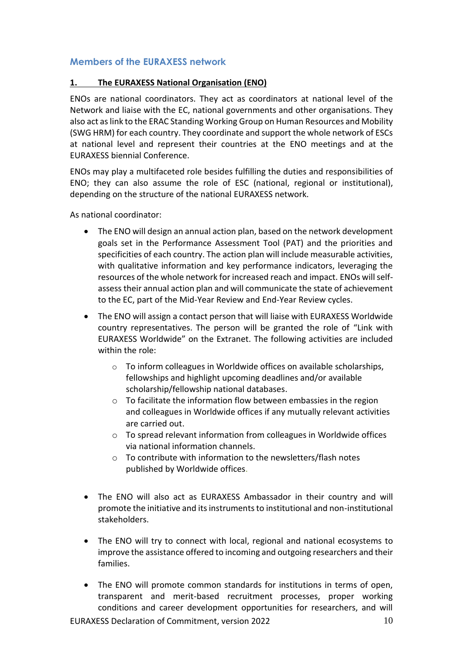## **Members of the EURAXESS network**

### **1. The EURAXESS National Organisation (ENO)**

ENOs are national coordinators. They act as coordinators at national level of the Network and liaise with the EC, national governments and other organisations. They also act as link to the ERAC Standing Working Group on Human Resources and Mobility (SWG HRM) for each country. They coordinate and support the whole network of ESCs at national level and represent their countries at the ENO meetings and at the EURAXESS biennial Conference.

ENOs may play a multifaceted role besides fulfilling the duties and responsibilities of ENO; they can also assume the role of ESC (national, regional or institutional), depending on the structure of the national EURAXESS network.

As national coordinator:

- The ENO will design an annual action plan, based on the network development goals set in the Performance Assessment Tool (PAT) and the priorities and specificities of each country. The action plan will include measurable activities, with qualitative information and key performance indicators, leveraging the resources of the whole network for increased reach and impact. ENOs will selfassess their annual action plan and will communicate the state of achievement to the EC, part of the Mid-Year Review and End-Year Review cycles.
- The ENO will assign a contact person that will liaise with EURAXESS Worldwide country representatives. The person will be granted the role of "Link with EURAXESS Worldwide" on the Extranet. The following activities are included within the role:
	- o To inform colleagues in Worldwide offices on available scholarships, fellowships and highlight upcoming deadlines and/or available scholarship/fellowship national databases.
	- o To facilitate the information flow between embassies in the region and colleagues in Worldwide offices if any mutually relevant activities are carried out.
	- o To spread relevant information from colleagues in Worldwide offices via national information channels.
	- o To contribute with information to the newsletters/flash notes published by Worldwide offices.
- The ENO will also act as EURAXESS Ambassador in their country and will promote the initiative and its instruments to institutional and non-institutional stakeholders.
- The ENO will try to connect with local, regional and national ecosystems to improve the assistance offered to incoming and outgoing researchers and their families.
- The ENO will promote common standards for institutions in terms of open, transparent and merit-based recruitment processes, proper working conditions and career development opportunities for researchers, and will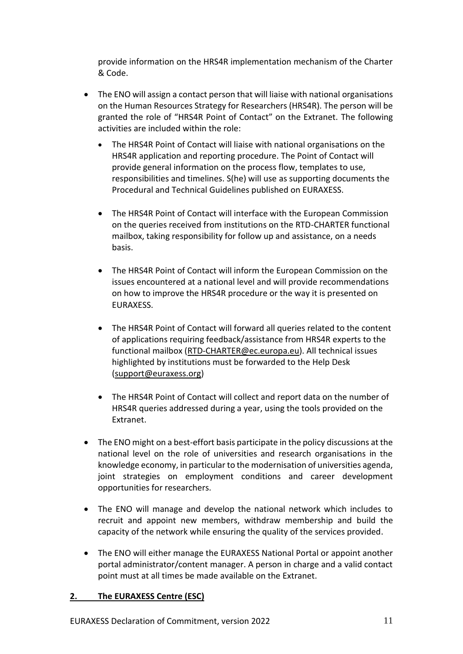provide information on the HRS4R implementation mechanism of the Charter & Code.

- The ENO will assign a contact person that will liaise with national organisations on the Human Resources Strategy for Researchers (HRS4R). The person will be granted the role of "HRS4R Point of Contact" on the Extranet. The following activities are included within the role:
	- The HRS4R Point of Contact will liaise with national organisations on the HRS4R application and reporting procedure. The Point of Contact will provide general information on the process flow, templates to use, responsibilities and timelines. S(he) will use as supporting documents the Procedural and Technical Guidelines published on EURAXESS.
	- The HRS4R Point of Contact will interface with the European Commission on the queries received from institutions on the RTD-CHARTER functional mailbox, taking responsibility for follow up and assistance, on a needs basis.
	- The HRS4R Point of Contact will inform the European Commission on the issues encountered at a national level and will provide recommendations on how to improve the HRS4R procedure or the way it is presented on EURAXESS.
	- The HRS4R Point of Contact will forward all queries related to the content of applications requiring feedback/assistance from HRS4R experts to the functional mailbox [\(RTD-CHARTER@ec.europa.eu\)](mailto:RTD-CHARTER@ec.europa.eu). All technical issues highlighted by institutions must be forwarded to the Help Desk [\(support@euraxess.org\)](mailto:support@euraxess.org)
	- The HRS4R Point of Contact will collect and report data on the number of HRS4R queries addressed during a year, using the tools provided on the Extranet.
- The ENO might on a best-effort basis participate in the policy discussions at the national level on the role of universities and research organisations in the knowledge economy, in particular to the modernisation of universities agenda, joint strategies on employment conditions and career development opportunities for researchers.
- The ENO will manage and develop the national network which includes to recruit and appoint new members, withdraw membership and build the capacity of the network while ensuring the quality of the services provided.
- The ENO will either manage the EURAXESS National Portal or appoint another portal administrator/content manager. A person in charge and a valid contact point must at all times be made available on the Extranet.

## **2. The EURAXESS Centre (ESC)**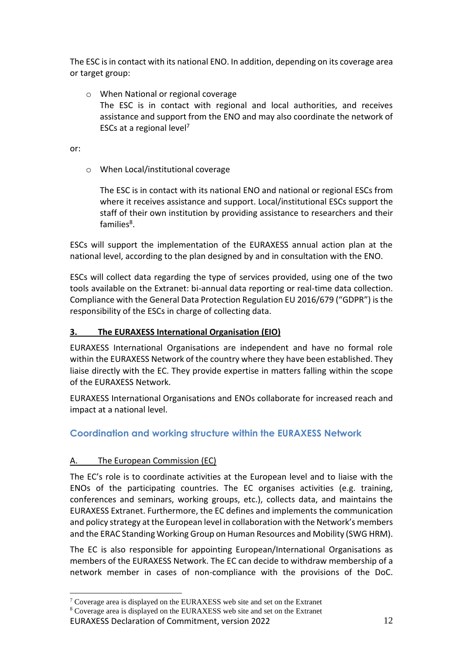The ESC is in contact with its national ENO. In addition, depending on its coverage area or target group:

o When National or regional coverage The ESC is in contact with regional and local authorities, and receives assistance and support from the ENO and may also coordinate the network of ESCs at a regional level<sup>7</sup>

or:

o When Local/institutional coverage

The ESC is in contact with its national ENO and national or regional ESCs from where it receives assistance and support. Local/institutional ESCs support the staff of their own institution by providing assistance to researchers and their families<sup>8</sup>.

ESCs will support the implementation of the EURAXESS annual action plan at the national level, according to the plan designed by and in consultation with the ENO.

ESCs will collect data regarding the type of services provided, using one of the two tools available on the Extranet: bi-annual data reporting or real-time data collection. Compliance with the General Data Protection Regulation EU 2016/679 ("GDPR") is the responsibility of the ESCs in charge of collecting data.

## **3. The EURAXESS International Organisation (EIO)**

EURAXESS International Organisations are independent and have no formal role within the EURAXESS Network of the country where they have been established. They liaise directly with the EC. They provide expertise in matters falling within the scope of the EURAXESS Network.

EURAXESS International Organisations and ENOs collaborate for increased reach and impact at a national level.

# **Coordination and working structure within the EURAXESS Network**

## A. The European Commission (EC)

The EC's role is to coordinate activities at the European level and to liaise with the ENOs of the participating countries. The EC organises activities (e.g. training, conferences and seminars, working groups, etc.), collects data, and maintains the EURAXESS Extranet. Furthermore, the EC defines and implements the communication and policy strategy at the European level in collaboration with the Network's members and the ERAC Standing Working Group on Human Resources and Mobility (SWG HRM).

The EC is also responsible for appointing European/International Organisations as members of the EURAXESS Network. The EC can decide to withdraw membership of a network member in cases of non-compliance with the provisions of the DoC.

EURAXESS Declaration of Commitment, version 2022 12 <sup>7</sup> Coverage area is displayed on the EURAXESS web site and set on the Extranet <sup>8</sup> Coverage area is displayed on the EURAXESS web site and set on the Extranet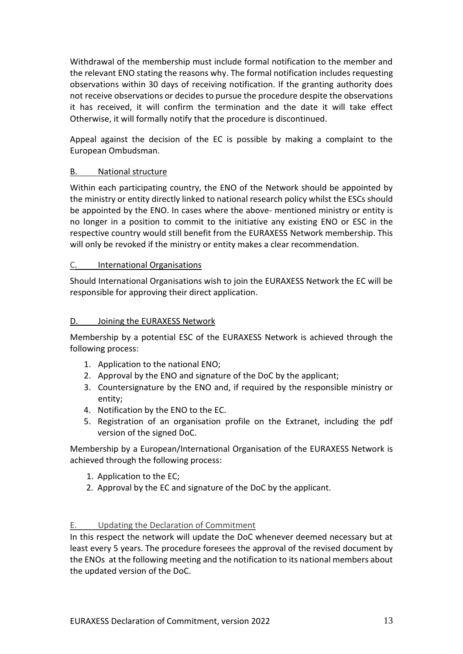Withdrawal of the membership must include formal notification to the member and the relevant ENO stating the reasons why. The formal notification includes requesting observations within 30 days of receiving notification. If the granting authority does not receive observations or decides to pursue the procedure despite the observations it has received, it will confirm the termination and the date it will take effect Otherwise, it will formally notify that the procedure is discontinued.

Appeal against the decision of the EC is possible by making a complaint to the European Ombudsman.

### B. National structure

Within each participating country, the ENO of the Network should be appointed by the ministry or entity directly linked to national research policy whilst the ESCs should be appointed by the ENO. In cases where the above- mentioned ministry or entity is no longer in a position to commit to the initiative any existing ENO or ESC in the respective country would still benefit from the EURAXESS Network membership. This will only be revoked if the ministry or entity makes a clear recommendation.

### C. International Organisations

Should International Organisations wish to join the EURAXESS Network the EC will be responsible for approving their direct application.

### D. Joining the EURAXESS Network

Membership by a potential ESC of the EURAXESS Network is achieved through the following process:

- 1. Application to the national ENO;
- 2. Approval by the ENO and signature of the DoC by the applicant;
- 3. Countersignature by the ENO and, if required by the responsible ministry or entity;
- 4. Notification by the ENO to the EC.
- 5. Registration of an organisation profile on the Extranet, including the pdf version of the signed DoC.

Membership by a European/International Organisation of the EURAXESS Network is achieved through the following process:

- 1. Application to the EC;
- 2. Approval by the EC and signature of the DoC by the applicant.

#### E. Updating the Declaration of Commitment

In this respect the network will update the DoC whenever deemed necessary but at least every 5 years. The procedure foresees the approval of the revised document by the ENOs at the following meeting and the notification to its national members about the updated version of the DoC.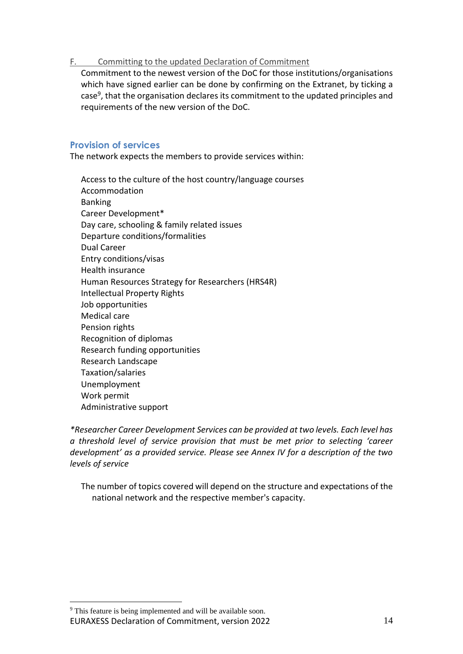### F. Committing to the updated Declaration of Commitment

Commitment to the newest version of the DoC for those institutions/organisations which have signed earlier can be done by confirming on the Extranet, by ticking a case<sup>9</sup>, that the organisation declares its commitment to the updated principles and requirements of the new version of the DoC.

## **Provision of services**

The network expects the members to provide services within:

Access to the culture of the host country/language courses Accommodation Banking Career Development\* Day care, schooling & family related issues Departure conditions/formalities Dual Career Entry conditions/visas Health insurance Human Resources Strategy for Researchers (HRS4R) Intellectual Property Rights Job opportunities Medical care Pension rights Recognition of diplomas Research funding opportunities Research Landscape Taxation/salaries Unemployment Work permit Administrative support

*\*Researcher Career Development Services can be provided at two levels. Each level has a threshold level of service provision that must be met prior to selecting 'career development' as a provided service. Please see Annex IV for a description of the two levels of service*

The number of topics covered will depend on the structure and expectations of the national network and the respective member's capacity.

EURAXESS Declaration of Commitment, version 2022 14 <sup>9</sup> This feature is being implemented and will be available soon.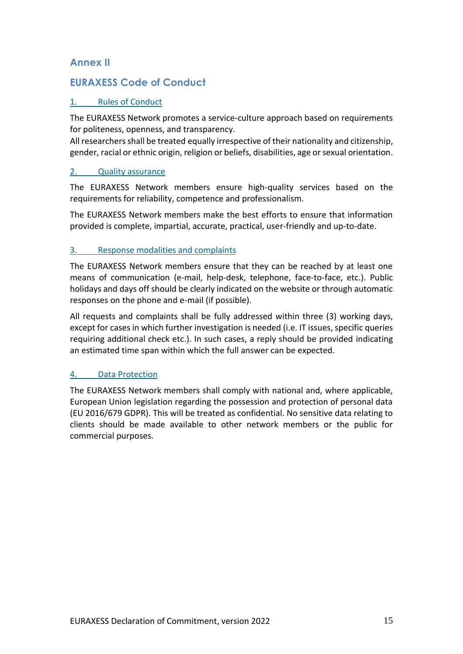# **Annex II**

# **EURAXESS Code of Conduct**

## 1. Rules of Conduct

The EURAXESS Network promotes a service-culture approach based on requirements for politeness, openness, and transparency.

All researchers shall be treated equally irrespective of their nationality and citizenship, gender, racial or ethnic origin, religion or beliefs, disabilities, age or sexual orientation.

### 2. Quality assurance

The EURAXESS Network members ensure high-quality services based on the requirements for reliability, competence and professionalism.

The EURAXESS Network members make the best efforts to ensure that information provided is complete, impartial, accurate, practical, user-friendly and up-to-date.

## 3. Response modalities and complaints

The EURAXESS Network members ensure that they can be reached by at least one means of communication (e-mail, help-desk, telephone, face-to-face, etc.). Public holidays and days off should be clearly indicated on the website or through automatic responses on the phone and e-mail (if possible).

All requests and complaints shall be fully addressed within three (3) working days, except for cases in which further investigation is needed (i.e. IT issues, specific queries requiring additional check etc.). In such cases, a reply should be provided indicating an estimated time span within which the full answer can be expected.

## 4. Data Protection

The EURAXESS Network members shall comply with national and, where applicable, European Union legislation regarding the possession and protection of personal data (EU 2016/679 GDPR). This will be treated as confidential. No sensitive data relating to clients should be made available to other network members or the public for commercial purposes.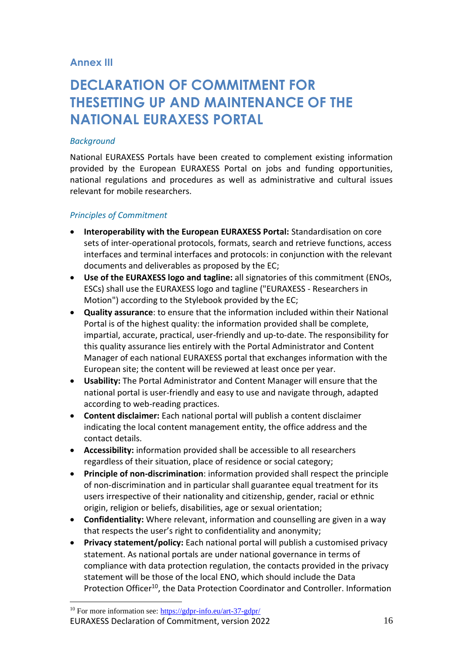# **Annex III**

# **DECLARATION OF COMMITMENT FOR THESETTING UP AND MAINTENANCE OF THE NATIONAL EURAXESS PORTAL**

### *Background*

National EURAXESS Portals have been created to complement existing information provided by the European EURAXESS Portal on jobs and funding opportunities, national regulations and procedures as well as administrative and cultural issues relevant for mobile researchers.

### *Principles of Commitment*

- **Interoperability with the European EURAXESS Portal:** Standardisation on core sets of inter-operational protocols, formats, search and retrieve functions, access interfaces and terminal interfaces and protocols: in conjunction with the relevant documents and deliverables as proposed by the EC;
- **Use of the EURAXESS logo and tagline:** all signatories of this commitment (ENOs, ESCs) shall use the EURAXESS logo and tagline ("EURAXESS - Researchers in Motion") according to the Stylebook provided by the EC;
- **Quality assurance**: to ensure that the information included within their National Portal is of the highest quality: the information provided shall be complete, impartial, accurate, practical, user-friendly and up-to-date. The responsibility for this quality assurance lies entirely with the Portal Administrator and Content Manager of each national EURAXESS portal that exchanges information with the European site; the content will be reviewed at least once per year.
- **Usability:** The Portal Administrator and Content Manager will ensure that the national portal is user-friendly and easy to use and navigate through, adapted according to web-reading practices.
- **Content disclaimer:** Each national portal will publish a content disclaimer indicating the local content management entity, the office address and the contact details.
- **Accessibility:** information provided shall be accessible to all researchers regardless of their situation, place of residence or social category;
- **Principle of non-discrimination**: information provided shall respect the principle of non-discrimination and in particular shall guarantee equal treatment for its users irrespective of their nationality and citizenship, gender, racial or ethnic origin, religion or beliefs, disabilities, age or sexual orientation;
- **Confidentiality:** Where relevant, information and counselling are given in a way that respects the user's right to confidentiality and anonymity;
- **Privacy statement/policy:** Each national portal will publish a customised privacy statement. As national portals are under national governance in terms of compliance with data protection regulation, the contacts provided in the privacy statement will be those of the local ENO, which should include the Data Protection Officer<sup>10</sup>, the Data Protection Coordinator and Controller. Information

EURAXESS Declaration of Commitment, version 2022 16 <sup>10</sup> For more information see: [https://gdpr-info.eu/art-37-gdpr/](https://urldefense.com/v3/__https:/gdpr-info.eu/art-37-gdpr/__;!NW73rmyV52c!XVy6jBKYaUOIY1H9NAi7q7Xvkl9O8vc35fpJUjvOog38xDXb0QinAVjUXVVtrMDkcwad7h-rh3nDOZo$)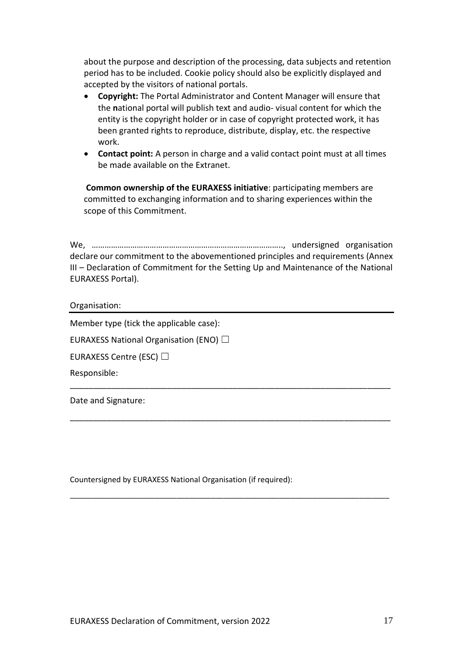about the purpose and description of the processing, data subjects and retention period has to be included. Cookie policy should also be explicitly displayed and accepted by the visitors of national portals.

- **Copyright:** The Portal Administrator and Content Manager will ensure that the **n**ational portal will publish text and audio- visual content for which the entity is the copyright holder or in case of copyright protected work, it has been granted rights to reproduce, distribute, display, etc. the respective work.
- **Contact point:** A person in charge and a valid contact point must at all times be made available on the Extranet.

**Common ownership of the EURAXESS initiative**: participating members are committed to exchanging information and to sharing experiences within the scope of this Commitment.

We, …………………………………………………………………………….., undersigned organisation declare our commitment to the abovementioned principles and requirements (Annex III – Declaration of Commitment for the Setting Up and Maintenance of the National EURAXESS Portal).

\_\_\_\_\_\_\_\_\_\_\_\_\_\_\_\_\_\_\_\_\_\_\_\_\_\_\_\_\_\_\_\_\_\_\_\_\_\_\_\_\_\_\_\_\_\_\_\_\_\_\_\_\_\_\_\_\_\_\_\_\_\_\_\_\_\_\_\_\_

\_\_\_\_\_\_\_\_\_\_\_\_\_\_\_\_\_\_\_\_\_\_\_\_\_\_\_\_\_\_\_\_\_\_\_\_\_\_\_\_\_\_\_\_\_\_\_\_\_\_\_\_\_\_\_\_\_\_\_\_\_\_\_\_\_\_\_\_\_

\_\_\_\_\_\_\_\_\_\_\_\_\_\_\_\_\_\_\_\_\_\_\_\_\_\_\_\_\_\_\_\_\_\_\_\_\_\_\_\_\_\_\_\_\_\_\_\_\_\_\_\_\_\_\_\_\_\_\_\_\_\_\_\_\_\_\_\_\_\_\_\_\_\_\_

Organisation:

Member type (tick the applicable case):

EURAXESS National Organisation (ENO)  $\Box$ 

EURAXESS Centre (ESC) □

Responsible:

Date and Signature:

Countersigned by EURAXESS National Organisation (if required):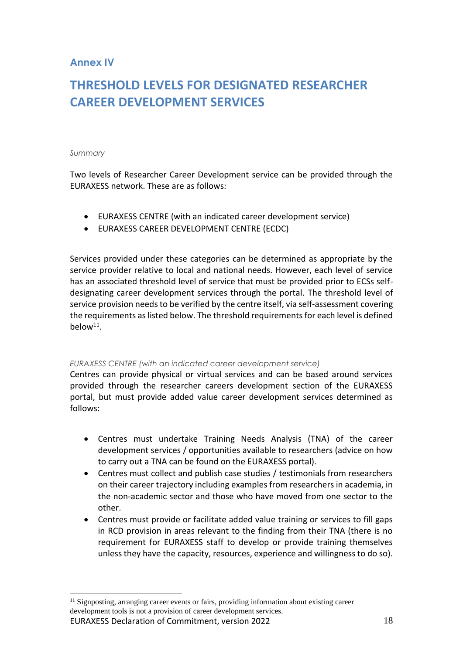# **Annex IV**

# **THRESHOLD LEVELS FOR DESIGNATED RESEARCHER CAREER DEVELOPMENT SERVICES**

#### *Summary*

Two levels of Researcher Career Development service can be provided through the EURAXESS network. These are as follows:

- EURAXESS CENTRE (with an indicated career development service)
- EURAXESS CAREER DEVELOPMENT CENTRE (ECDC)

Services provided under these categories can be determined as appropriate by the service provider relative to local and national needs. However, each level of service has an associated threshold level of service that must be provided prior to ECSs selfdesignating career development services through the portal. The threshold level of service provision needs to be verified by the centre itself, via self-assessment covering the requirements as listed below. The threshold requirements for each level is defined below<sup>11</sup>.

#### *EURAXESS CENTRE (with an indicated career development service)*

Centres can provide physical or virtual services and can be based around services provided through the researcher careers development section of the EURAXESS portal, but must provide added value career development services determined as follows:

- Centres must undertake Training Needs Analysis (TNA) of the career development services / opportunities available to researchers (advice on how to carry out a TNA can be found on the EURAXESS portal).
- Centres must collect and publish case studies / testimonials from researchers on their career trajectory including examples from researchers in academia, in the non-academic sector and those who have moved from one sector to the other.
- Centres must provide or facilitate added value training or services to fill gaps in RCD provision in areas relevant to the finding from their TNA (there is no requirement for EURAXESS staff to develop or provide training themselves unless they have the capacity, resources, experience and willingness to do so).

EURAXESS Declaration of Commitment, version 2022 18 <sup>11</sup> Signposting, arranging career events or fairs, providing information about existing career development tools is not a provision of career development services.